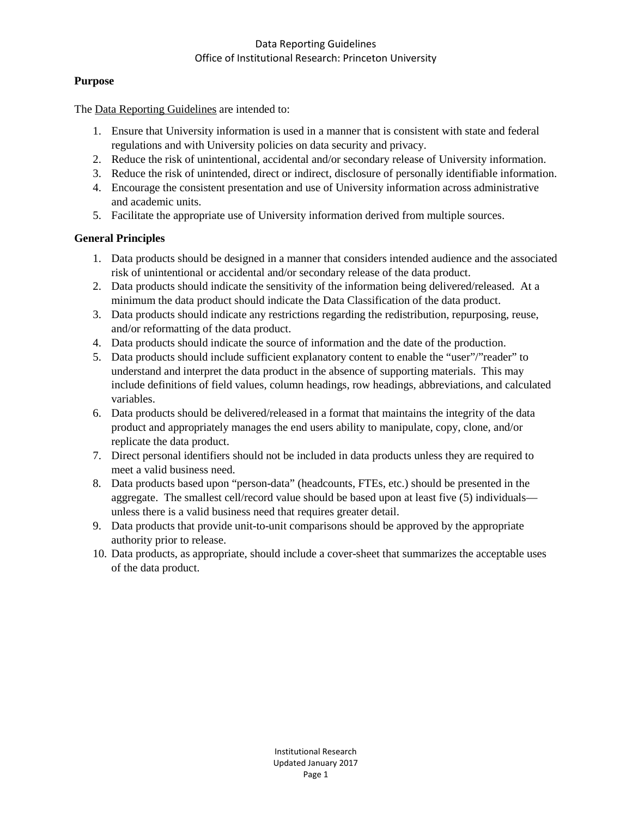### Data Reporting Guidelines Office of Institutional Research: Princeton University

## **Purpose**

The Data Reporting Guidelines are intended to:

- 1. Ensure that University information is used in a manner that is consistent with state and federal regulations and with University policies on data security and privacy.
- 2. Reduce the risk of unintentional, accidental and/or secondary release of University information.
- 3. Reduce the risk of unintended, direct or indirect, disclosure of personally identifiable information.
- 4. Encourage the consistent presentation and use of University information across administrative and academic units.
- 5. Facilitate the appropriate use of University information derived from multiple sources.

# **General Principles**

- 1. Data products should be designed in a manner that considers intended audience and the associated risk of unintentional or accidental and/or secondary release of the data product.
- 2. Data products should indicate the sensitivity of the information being delivered/released. At a minimum the data product should indicate the Data Classification of the data product.
- 3. Data products should indicate any restrictions regarding the redistribution, repurposing, reuse, and/or reformatting of the data product.
- 4. Data products should indicate the source of information and the date of the production.
- 5. Data products should include sufficient explanatory content to enable the "user"/"reader" to understand and interpret the data product in the absence of supporting materials. This may include definitions of field values, column headings, row headings, abbreviations, and calculated variables.
- 6. Data products should be delivered/released in a format that maintains the integrity of the data product and appropriately manages the end users ability to manipulate, copy, clone, and/or replicate the data product.
- 7. Direct personal identifiers should not be included in data products unless they are required to meet a valid business need.
- 8. Data products based upon "person-data" (headcounts, FTEs, etc.) should be presented in the aggregate. The smallest cell/record value should be based upon at least five (5) individuals unless there is a valid business need that requires greater detail.
- 9. Data products that provide unit-to-unit comparisons should be approved by the appropriate authority prior to release.
- 10. Data products, as appropriate, should include a cover-sheet that summarizes the acceptable uses of the data product.